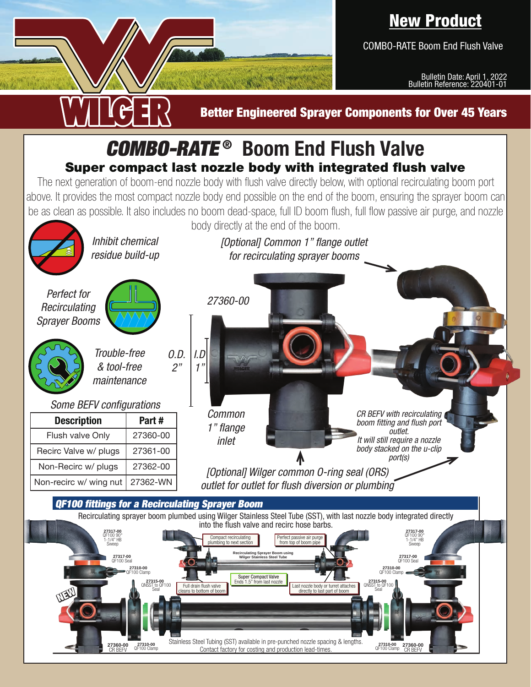## New Product

COMBO-RATE Boom End Flush Valve

**27360-00 27310-00**

Bulletin Date: April 1, 2022 Bulletin Reference: 220401-01

## Better Engineered Sprayer Components for Over 45 Years COMBO-RATE ® **Boom End Flush Valve** Super compact last nozzle body with integrated flush valve The next generation of boom-end nozzle body with flush valve directly below, with optional recirculating boom port above. It provides the most compact nozzle body end possible on the end of the boom, ensuring the sprayer boom can be as clean as possible. It also includes no boom dead-space, full ID boom flush, full flow passive air purge, and nozzle body directly at the end of the boom. *Inhibit chemical [Optional] Common 1" flange outlet residue build-up for recirculating sprayer booms Perfect for 27360-00 Recirculating Sprayer BoomsTrouble-free O.D. I.D & tool-free 2" 1" maintenance Some BEFV configurations Common CR BEFV with recirculating*  **Description Part #** *boom fitting and flush port 1" flange outlet.*  Flush valve Only 27360-00 *It will still require a nozzle inlet body stacked on the u-clip*  Recirc Valve w/ plugs | 27361-00  $\blacktriangle$ *port(s)* Non-Recirc w/ plugs | 27362-00 *[Optional] Wilger common O-ring seal (ORS)*  Non-recirc w/ wing nut | 27362-WN *outlet for outlet for flush diversion or plumbing* QF100 fittings for a Recirculating Sprayer Boom Recirculating sprayer boom plumbed using Wilger Stainless Steel Tube (SST), with last nozzle body integrated directly into the flush valve and recirc hose barbs. **27317-00 27317-00** QF100 90° 1-1/4" HB QF100 90° 1-1/4" HB Compact recirculating plumbing to next section Perfect passive air purge from top of boom pipe Sweep Sweep **Recirculating Sprayer Boom using Wilger Stainless Steel Tube** 27317-00<br>27317-00 Seal **27317-00 Seal Annual Company of Company of Company 27317-00 Seal 27317-00 Seal 27317-00** QF100 Seal **27310-00**<br>F100 Clamp **27310-00 Clamp 27310-00 27310-00 27310-00** QF100 Clamp Super Compact Valve<br>Ends 1.5" from last nozzle **27315-00**<br>QNSST to QF100<br>Seal **27315-00** Full drain flush valve Ends 1.5" from last nozzle<br>cleans to bottom of boom Last nozzle body or turret attache QNSST to QF100<br>Seal directly to last part of boo NEW

27310-00 27310-00 Cuarness offer rubing (Solid and and production lead-times.<br>CR BEFV QF100 Clamp **27360-01** Contact factory for costing and production lead-times.

Stainless Steel Tubing (SST) available in pre-punched nozzle spacing & lengths.

27360-00

27310-00<br>QF100 Clamp